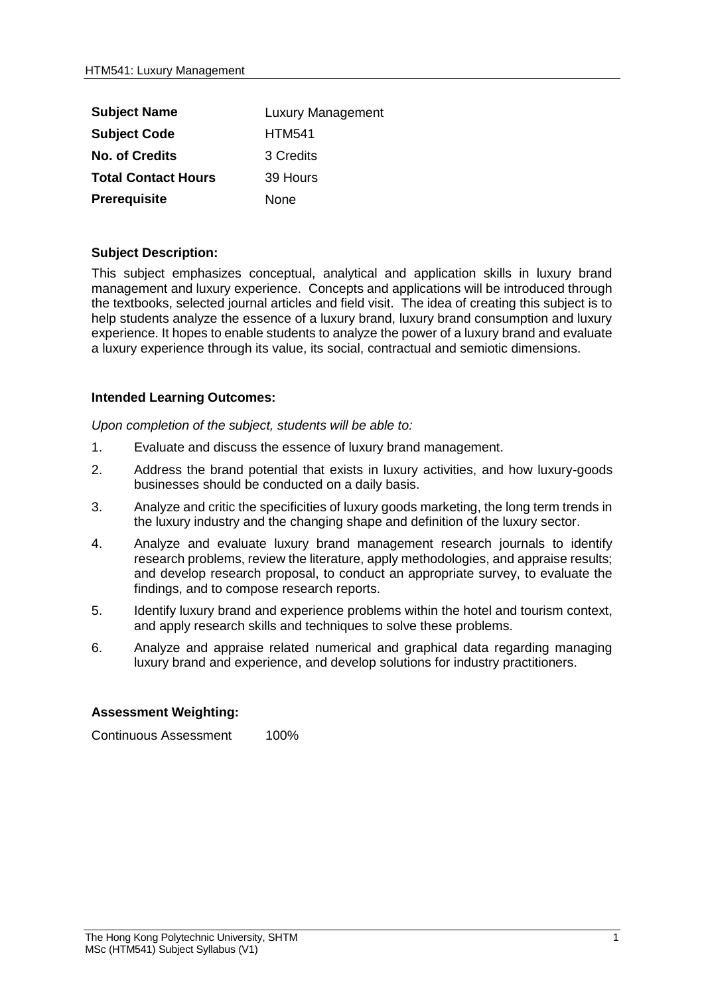| <b>Subject Name</b>        | <b>Luxury Management</b> |
|----------------------------|--------------------------|
| <b>Subject Code</b>        | <b>HTM541</b>            |
| <b>No. of Credits</b>      | 3 Credits                |
| <b>Total Contact Hours</b> | 39 Hours                 |
| Prerequisite               | None                     |

## **Subject Description:**

This subject emphasizes conceptual, analytical and application skills in luxury brand management and luxury experience. Concepts and applications will be introduced through the textbooks, selected journal articles and field visit. The idea of creating this subject is to help students analyze the essence of a luxury brand, luxury brand consumption and luxury experience. It hopes to enable students to analyze the power of a luxury brand and evaluate a luxury experience through its value, its social, contractual and semiotic dimensions.

## **Intended Learning Outcomes:**

*Upon completion of the subject, students will be able to:*

- 1. Evaluate and discuss the essence of luxury brand management.
- 2. Address the brand potential that exists in luxury activities, and how luxury-goods businesses should be conducted on a daily basis.
- 3. Analyze and critic the specificities of luxury goods marketing, the long term trends in the luxury industry and the changing shape and definition of the luxury sector.
- 4. Analyze and evaluate luxury brand management research journals to identify research problems, review the literature, apply methodologies, and appraise results; and develop research proposal, to conduct an appropriate survey, to evaluate the findings, and to compose research reports.
- 5. Identify luxury brand and experience problems within the hotel and tourism context, and apply research skills and techniques to solve these problems.
- 6. Analyze and appraise related numerical and graphical data regarding managing luxury brand and experience, and develop solutions for industry practitioners.

## **Assessment Weighting:**

Continuous Assessment 100%